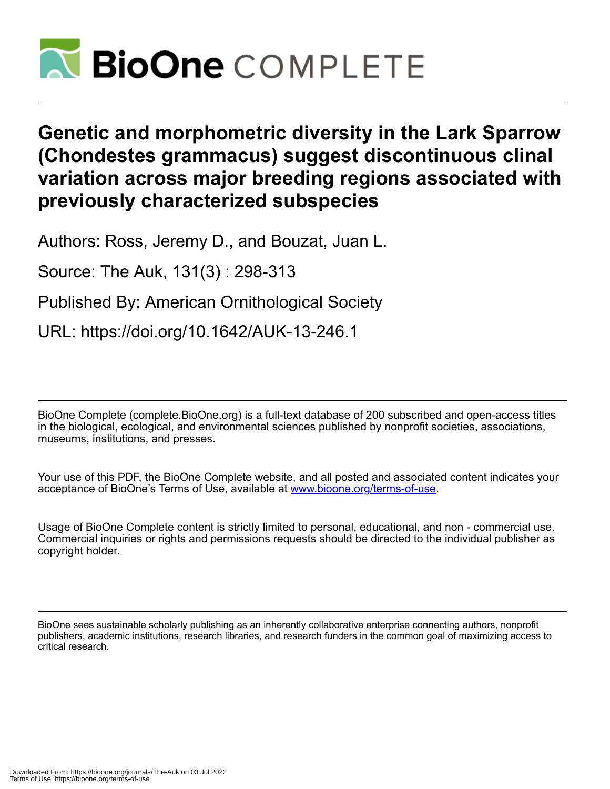

# **Genetic and morphometric diversity in the Lark Sparrow (Chondestes grammacus) suggest discontinuous clinal variation across major breeding regions associated with previously characterized subspecies**

Authors: Ross, Jeremy D., and Bouzat, Juan L.

Source: The Auk, 131(3) : 298-313

Published By: American Ornithological Society

URL: https://doi.org/10.1642/AUK-13-246.1

BioOne Complete (complete.BioOne.org) is a full-text database of 200 subscribed and open-access titles in the biological, ecological, and environmental sciences published by nonprofit societies, associations, museums, institutions, and presses.

Your use of this PDF, the BioOne Complete website, and all posted and associated content indicates your acceptance of BioOne's Terms of Use, available at www.bioone.org/terms-of-use.

Usage of BioOne Complete content is strictly limited to personal, educational, and non - commercial use. Commercial inquiries or rights and permissions requests should be directed to the individual publisher as copyright holder.

BioOne sees sustainable scholarly publishing as an inherently collaborative enterprise connecting authors, nonprofit publishers, academic institutions, research libraries, and research funders in the common goal of maximizing access to critical research.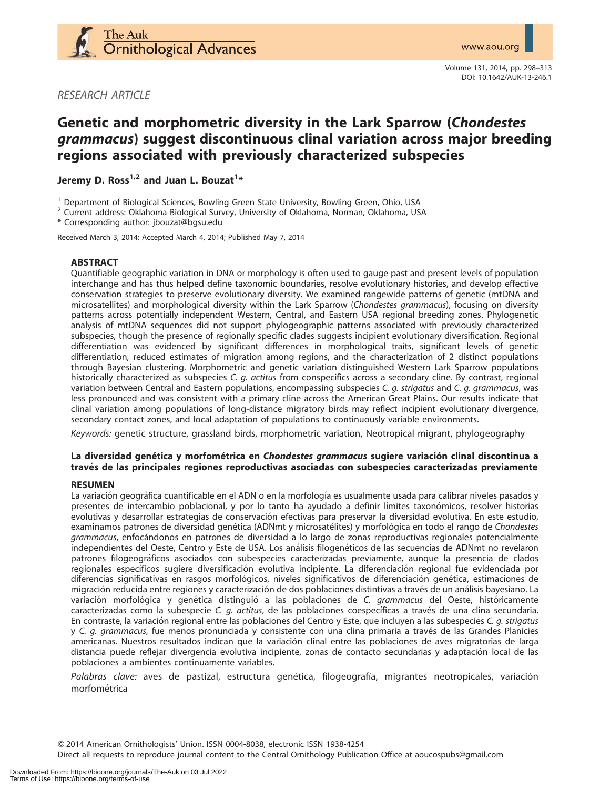

Volume 131, 2014, pp. 298–313 DOI: 10.1642/AUK-13-246.1

RESEARCH ARTICLE

# Genetic and morphometric diversity in the Lark Sparrow (Chondestes grammacus) suggest discontinuous clinal variation across major breeding regions associated with previously characterized subspecies

Jeremy D. Ross $^{1,2}$  and Juan L. Bouzat $^{1\ast}$ 

<sup>1</sup> Department of Biological Sciences, Bowling Green State University, Bowling Green, Ohio, USA  $^2$  Current address: Oklahoma Biological Survey, University of Oklahoma, Norman, Oklahoma, USA

\* Corresponding author: jbouzat@bgsu.edu

Received March 3, 2014; Accepted March 4, 2014; Published May 7, 2014

#### ABSTRACT

Quantifiable geographic variation in DNA or morphology is often used to gauge past and present levels of population interchange and has thus helped define taxonomic boundaries, resolve evolutionary histories, and develop effective conservation strategies to preserve evolutionary diversity. We examined rangewide patterns of genetic (mtDNA and microsatellites) and morphological diversity within the Lark Sparrow (Chondestes grammacus), focusing on diversity patterns across potentially independent Western, Central, and Eastern USA regional breeding zones. Phylogenetic analysis of mtDNA sequences did not support phylogeographic patterns associated with previously characterized subspecies, though the presence of regionally specific clades suggests incipient evolutionary diversification. Regional differentiation was evidenced by significant differences in morphological traits, significant levels of genetic differentiation, reduced estimates of migration among regions, and the characterization of 2 distinct populations through Bayesian clustering. Morphometric and genetic variation distinguished Western Lark Sparrow populations historically characterized as subspecies C. g. actitus from conspecifics across a secondary cline. By contrast, regional variation between Central and Eastern populations, encompassing subspecies C. g. strigatus and C. g. grammacus, was less pronounced and was consistent with a primary cline across the American Great Plains. Our results indicate that clinal variation among populations of long-distance migratory birds may reflect incipient evolutionary divergence, secondary contact zones, and local adaptation of populations to continuously variable environments.

Keywords: genetic structure, grassland birds, morphometric variation, Neotropical migrant, phylogeography

# La diversidad genética y morfométrica en Chondestes grammacus sugiere variación clinal discontinua a través de las principales regiones reproductivas asociadas con subespecies caracterizadas previamente

#### RESUMEN

La variación geográfica cuantificable en el ADN o en la morfología es usualmente usada para calibrar niveles pasados y presentes de intercambio poblacional, y por lo tanto ha ayudado a definir límites taxonómicos, resolver historias evolutivas y desarrollar estrategias de conservación efectivas para preservar la diversidad evolutiva. En este estudio, examinamos patrones de diversidad genética (ADNmt y microsatélites) y morfológica en todo el rango de Chondestes grammacus, enfocándonos en patrones de diversidad a lo largo de zonas reproductivas regionales potencialmente independientes del Oeste, Centro y Este de USA. Los análisis filogenéticos de las secuencias de ADNmt no revelaron patrones filogeogra´ficos asociados con subespecies caracterizadas previamente, aunque la presencia de clados regionales específicos sugiere diversificación evolutiva incipiente. La diferenciación regional fue evidenciada por diferencias significativas en rasgos morfológicos, niveles significativos de diferenciación genética, estimaciones de migración reducida entre regiones y caracterización de dos poblaciones distintivas a través de un análisis bayesiano. La variación morfológica y genética distinguió a las poblaciones de C. grammacus del Oeste, históricamente caracterizadas como la subespecie C. q. actitus, de las poblaciones coespecíficas a través de una clina secundaria. En contraste, la variación regional entre las poblaciones del Centro y Este, que incluyen a las subespecies C. q. strigatus y C. g. grammacus, fue menos pronunciada y consistente con una clina primaria a través de las Grandes Planicies americanas. Nuestros resultados indican que la variación clinal entre las poblaciones de aves migratorias de larga distancia puede reflejar divergencia evolutiva incipiente, zonas de contacto secundarias y adaptación local de las poblaciones a ambientes continuamente variables.

Palabras clave: aves de pastizal, estructura genética, filogeografía, migrantes neotropicales, variación morfométrica

Q 2014 American Ornithologists' Union. ISSN 0004-8038, electronic ISSN 1938-4254

Direct all requests to reproduce journal content to the Central Ornithology Publication Office at aoucospubs@gmail.com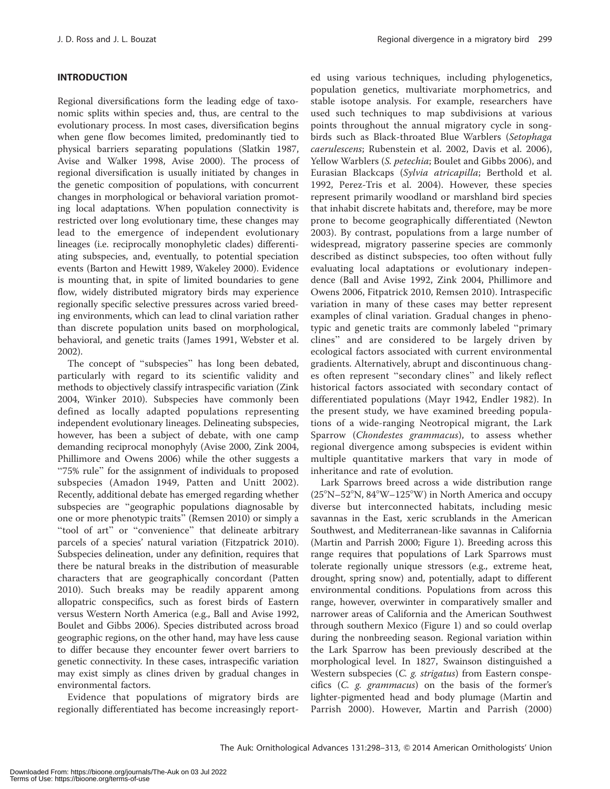# INTRODUCTION

Regional diversifications form the leading edge of taxonomic splits within species and, thus, are central to the evolutionary process. In most cases, diversification begins when gene flow becomes limited, predominantly tied to physical barriers separating populations (Slatkin 1987, Avise and Walker 1998, Avise 2000). The process of regional diversification is usually initiated by changes in the genetic composition of populations, with concurrent changes in morphological or behavioral variation promoting local adaptations. When population connectivity is restricted over long evolutionary time, these changes may lead to the emergence of independent evolutionary lineages (i.e. reciprocally monophyletic clades) differentiating subspecies, and, eventually, to potential speciation events (Barton and Hewitt 1989, Wakeley 2000). Evidence is mounting that, in spite of limited boundaries to gene flow, widely distributed migratory birds may experience regionally specific selective pressures across varied breeding environments, which can lead to clinal variation rather than discrete population units based on morphological, behavioral, and genetic traits (James 1991, Webster et al. 2002).

The concept of ''subspecies'' has long been debated, particularly with regard to its scientific validity and methods to objectively classify intraspecific variation (Zink 2004, Winker 2010). Subspecies have commonly been defined as locally adapted populations representing independent evolutionary lineages. Delineating subspecies, however, has been a subject of debate, with one camp demanding reciprocal monophyly (Avise 2000, Zink 2004, Phillimore and Owens 2006) while the other suggests a ''75% rule'' for the assignment of individuals to proposed subspecies (Amadon 1949, Patten and Unitt 2002). Recently, additional debate has emerged regarding whether subspecies are ''geographic populations diagnosable by one or more phenotypic traits'' (Remsen 2010) or simply a "tool of art" or "convenience" that delineate arbitrary parcels of a species' natural variation (Fitzpatrick 2010). Subspecies delineation, under any definition, requires that there be natural breaks in the distribution of measurable characters that are geographically concordant (Patten 2010). Such breaks may be readily apparent among allopatric conspecifics, such as forest birds of Eastern versus Western North America (e.g., Ball and Avise 1992, Boulet and Gibbs 2006). Species distributed across broad geographic regions, on the other hand, may have less cause to differ because they encounter fewer overt barriers to genetic connectivity. In these cases, intraspecific variation may exist simply as clines driven by gradual changes in environmental factors.

Evidence that populations of migratory birds are regionally differentiated has become increasingly report-

ed using various techniques, including phylogenetics, population genetics, multivariate morphometrics, and stable isotope analysis. For example, researchers have used such techniques to map subdivisions at various points throughout the annual migratory cycle in songbirds such as Black-throated Blue Warblers (Setophaga caerulescens; Rubenstein et al. 2002, Davis et al. 2006), Yellow Warblers (S. petechia; Boulet and Gibbs 2006), and Eurasian Blackcaps (Sylvia atricapilla; Berthold et al. 1992, Perez-Tris et al. 2004). However, these species represent primarily woodland or marshland bird species that inhabit discrete habitats and, therefore, may be more prone to become geographically differentiated (Newton 2003). By contrast, populations from a large number of widespread, migratory passerine species are commonly described as distinct subspecies, too often without fully evaluating local adaptations or evolutionary independence (Ball and Avise 1992, Zink 2004, Phillimore and Owens 2006, Fitpatrick 2010, Remsen 2010). Intraspecific variation in many of these cases may better represent examples of clinal variation. Gradual changes in phenotypic and genetic traits are commonly labeled ''primary clines'' and are considered to be largely driven by ecological factors associated with current environmental gradients. Alternatively, abrupt and discontinuous changes often represent ''secondary clines'' and likely reflect historical factors associated with secondary contact of differentiated populations (Mayr 1942, Endler 1982). In the present study, we have examined breeding populations of a wide-ranging Neotropical migrant, the Lark Sparrow (Chondestes grammacus), to assess whether regional divergence among subspecies is evident within multiple quantitative markers that vary in mode of inheritance and rate of evolution.

Lark Sparrows breed across a wide distribution range  $(25^\circ N - 52^\circ N, 84^\circ W - 125^\circ W)$  in North America and occupy diverse but interconnected habitats, including mesic savannas in the East, xeric scrublands in the American Southwest, and Mediterranean-like savannas in California (Martin and Parrish 2000; Figure 1). Breeding across this range requires that populations of Lark Sparrows must tolerate regionally unique stressors (e.g., extreme heat, drought, spring snow) and, potentially, adapt to different environmental conditions. Populations from across this range, however, overwinter in comparatively smaller and narrower areas of California and the American Southwest through southern Mexico (Figure 1) and so could overlap during the nonbreeding season. Regional variation within the Lark Sparrow has been previously described at the morphological level. In 1827, Swainson distinguished a Western subspecies (C. g. strigatus) from Eastern conspecifics (C. g. grammacus) on the basis of the former's lighter-pigmented head and body plumage (Martin and Parrish 2000). However, Martin and Parrish (2000)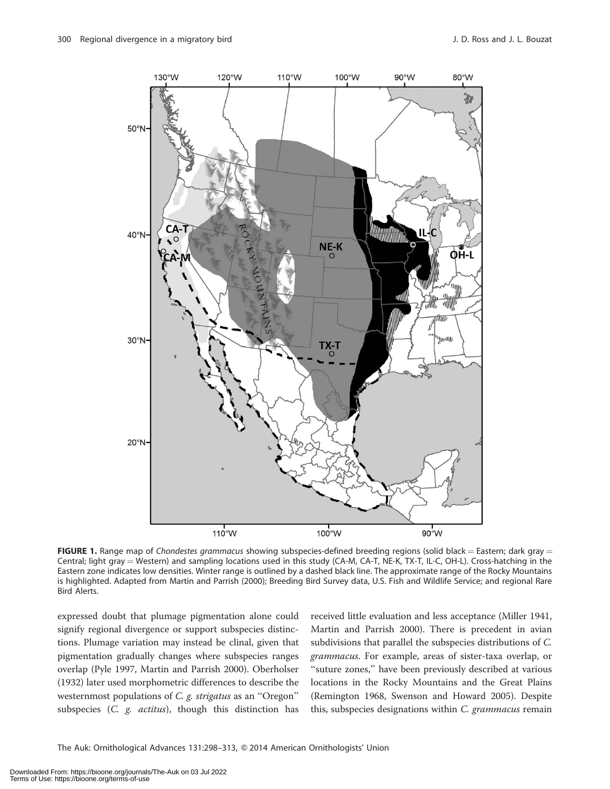

FIGURE 1. Range map of Chondestes grammacus showing subspecies-defined breeding regions (solid black = Eastern; dark gray = Central; light gray = Western) and sampling locations used in this study (CA-M, CA-T, NE-K, TX-T, IL-C, OH-L). Cross-hatching in the Eastern zone indicates low densities. Winter range is outlined by a dashed black line. The approximate range of the Rocky Mountains is highlighted. Adapted from Martin and Parrish (2000); Breeding Bird Survey data, U.S. Fish and Wildlife Service; and regional Rare Bird Alerts.

expressed doubt that plumage pigmentation alone could signify regional divergence or support subspecies distinctions. Plumage variation may instead be clinal, given that pigmentation gradually changes where subspecies ranges overlap (Pyle 1997, Martin and Parrish 2000). Oberholser (1932) later used morphometric differences to describe the westernmost populations of C. g. strigatus as an ''Oregon'' subspecies (C. g. actitus), though this distinction has

received little evaluation and less acceptance (Miller 1941, Martin and Parrish 2000). There is precedent in avian subdivisions that parallel the subspecies distributions of C. grammacus. For example, areas of sister-taxa overlap, or "suture zones," have been previously described at various locations in the Rocky Mountains and the Great Plains (Remington 1968, Swenson and Howard 2005). Despite this, subspecies designations within C. grammacus remain

The Auk: Ornithological Advances 131:298-313, @ 2014 American Ornithologists' Union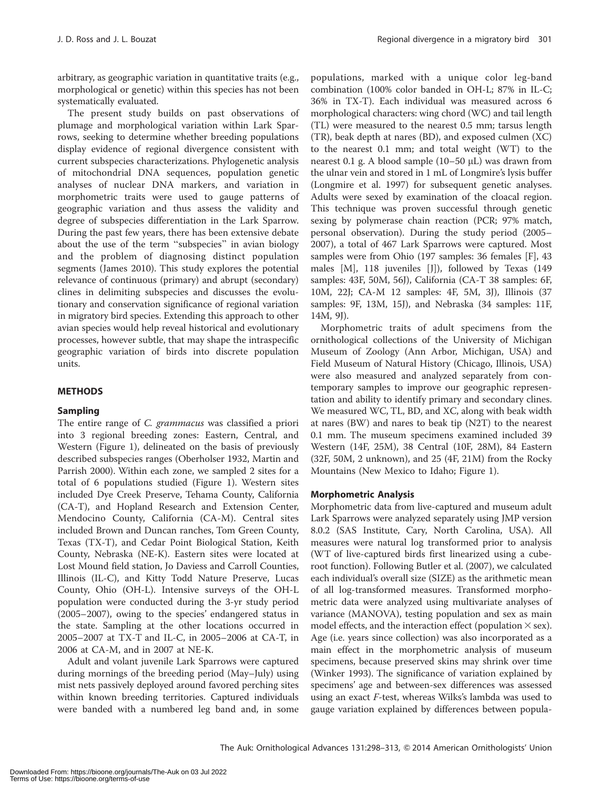arbitrary, as geographic variation in quantitative traits (e.g., morphological or genetic) within this species has not been systematically evaluated.

The present study builds on past observations of plumage and morphological variation within Lark Sparrows, seeking to determine whether breeding populations display evidence of regional divergence consistent with current subspecies characterizations. Phylogenetic analysis of mitochondrial DNA sequences, population genetic analyses of nuclear DNA markers, and variation in morphometric traits were used to gauge patterns of geographic variation and thus assess the validity and degree of subspecies differentiation in the Lark Sparrow. During the past few years, there has been extensive debate about the use of the term ''subspecies'' in avian biology and the problem of diagnosing distinct population segments (James 2010). This study explores the potential relevance of continuous (primary) and abrupt (secondary) clines in delimiting subspecies and discusses the evolutionary and conservation significance of regional variation in migratory bird species. Extending this approach to other avian species would help reveal historical and evolutionary processes, however subtle, that may shape the intraspecific geographic variation of birds into discrete population units.

#### METHODS

#### Sampling

The entire range of C. grammacus was classified a priori into 3 regional breeding zones: Eastern, Central, and Western (Figure 1), delineated on the basis of previously described subspecies ranges (Oberholser 1932, Martin and Parrish 2000). Within each zone, we sampled 2 sites for a total of 6 populations studied (Figure 1). Western sites included Dye Creek Preserve, Tehama County, California (CA-T), and Hopland Research and Extension Center, Mendocino County, California (CA-M). Central sites included Brown and Duncan ranches, Tom Green County, Texas (TX-T), and Cedar Point Biological Station, Keith County, Nebraska (NE-K). Eastern sites were located at Lost Mound field station, Jo Daviess and Carroll Counties, Illinois (IL-C), and Kitty Todd Nature Preserve, Lucas County, Ohio (OH-L). Intensive surveys of the OH-L population were conducted during the 3-yr study period (2005–2007), owing to the species' endangered status in the state. Sampling at the other locations occurred in 2005–2007 at TX-T and IL-C, in 2005–2006 at CA-T, in 2006 at CA-M, and in 2007 at NE-K.

Adult and volant juvenile Lark Sparrows were captured during mornings of the breeding period (May–July) using mist nets passively deployed around favored perching sites within known breeding territories. Captured individuals were banded with a numbered leg band and, in some populations, marked with a unique color leg-band combination (100% color banded in OH-L; 87% in IL-C; 36% in TX-T). Each individual was measured across 6 morphological characters: wing chord (WC) and tail length (TL) were measured to the nearest 0.5 mm; tarsus length (TR), beak depth at nares (BD), and exposed culmen (XC) to the nearest 0.1 mm; and total weight (WT) to the nearest 0.1 g. A blood sample  $(10-50 \mu L)$  was drawn from the ulnar vein and stored in 1 mL of Longmire's lysis buffer (Longmire et al. 1997) for subsequent genetic analyses. Adults were sexed by examination of the cloacal region. This technique was proven successful through genetic sexing by polymerase chain reaction (PCR; 97% match, personal observation). During the study period (2005– 2007), a total of 467 Lark Sparrows were captured. Most samples were from Ohio (197 samples: 36 females [F], 43 males [M], 118 juveniles [J]), followed by Texas (149 samples: 43F, 50M, 56J), California (CA-T 38 samples: 6F, 10M, 22J; CA-M 12 samples: 4F, 5M, 3J), Illinois (37 samples: 9F, 13M, 15J), and Nebraska (34 samples: 11F, 14M, 9J).

Morphometric traits of adult specimens from the ornithological collections of the University of Michigan Museum of Zoology (Ann Arbor, Michigan, USA) and Field Museum of Natural History (Chicago, Illinois, USA) were also measured and analyzed separately from contemporary samples to improve our geographic representation and ability to identify primary and secondary clines. We measured WC, TL, BD, and XC, along with beak width at nares (BW) and nares to beak tip (N2T) to the nearest 0.1 mm. The museum specimens examined included 39 Western (14F, 25M), 38 Central (10F, 28M), 84 Eastern (32F, 50M, 2 unknown), and 25 (4F, 21M) from the Rocky Mountains (New Mexico to Idaho; Figure 1).

#### Morphometric Analysis

Morphometric data from live-captured and museum adult Lark Sparrows were analyzed separately using JMP version 8.0.2 (SAS Institute, Cary, North Carolina, USA). All measures were natural log transformed prior to analysis (WT of live-captured birds first linearized using a cuberoot function). Following Butler et al. (2007), we calculated each individual's overall size (SIZE) as the arithmetic mean of all log-transformed measures. Transformed morphometric data were analyzed using multivariate analyses of variance (MANOVA), testing population and sex as main model effects, and the interaction effect (population  $\times$  sex). Age (i.e. years since collection) was also incorporated as a main effect in the morphometric analysis of museum specimens, because preserved skins may shrink over time (Winker 1993). The significance of variation explained by specimens' age and between-sex differences was assessed using an exact F-test, whereas Wilks's lambda was used to gauge variation explained by differences between popula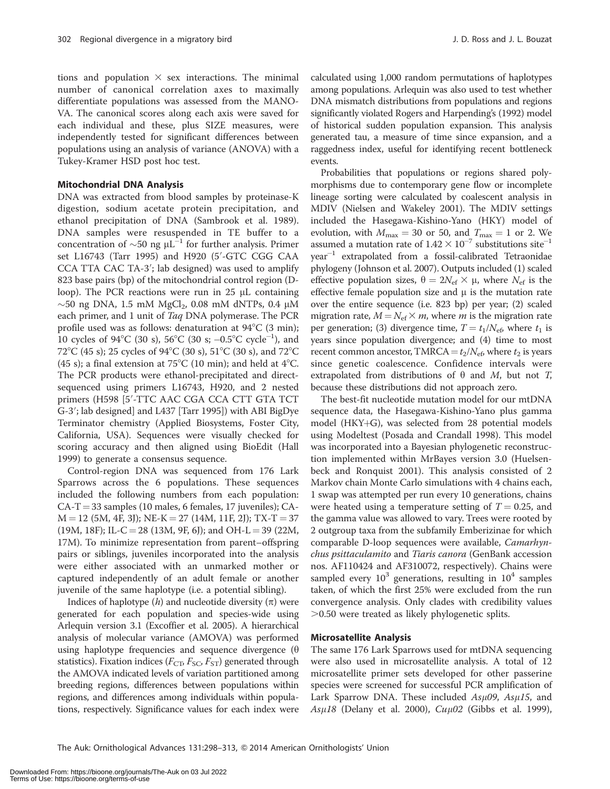tions and population  $\times$  sex interactions. The minimal number of canonical correlation axes to maximally differentiate populations was assessed from the MANO-VA. The canonical scores along each axis were saved for each individual and these, plus SIZE measures, were independently tested for significant differences between populations using an analysis of variance (ANOVA) with a Tukey-Kramer HSD post hoc test.

#### Mitochondrial DNA Analysis

DNA was extracted from blood samples by proteinase-K digestion, sodium acetate protein precipitation, and ethanol precipitation of DNA (Sambrook et al. 1989). DNA samples were resuspended in TE buffer to a concentration of  $\sim$ 50 ng  $\mu L^{-1}$  for further analysis. Primer set L16743 (Tarr 1995) and H920 (5'-GTC CGG CAA CCA TTA CAC TA-3'; lab designed) was used to amplify 823 base pairs (bp) of the mitochondrial control region (Dloop). The PCR reactions were run in  $25 \mu L$  containing  $\sim$ 50 ng DNA, 1.5 mM MgCl<sub>2</sub>, 0.08 mM dNTPs, 0.4 µM each primer, and 1 unit of Taq DNA polymerase. The PCR profile used was as follows: denaturation at  $94^{\circ}C$  (3 min); 10 cycles of 94°C (30 s), 56°C (30 s; -0.5°C cycle<sup>-1</sup>), and 72<sup>°</sup>C (45 s); 25 cycles of 94<sup>°</sup>C (30 s), 51<sup>°</sup>C (30 s), and 72<sup>°</sup>C (45 s); a final extension at 75°C (10 min); and held at 4°C. The PCR products were ethanol-precipitated and directsequenced using primers L16743, H920, and 2 nested primers (H598 [5'-TTC AAC CGA CCA CTT GTA TCT G-3′; lab designed] and L437 [Tarr 1995]) with ABI BigDye Terminator chemistry (Applied Biosystems, Foster City, California, USA). Sequences were visually checked for scoring accuracy and then aligned using BioEdit (Hall 1999) to generate a consensus sequence.

Control-region DNA was sequenced from 176 Lark Sparrows across the 6 populations. These sequences included the following numbers from each population: CA-T = 33 samples (10 males, 6 females, 17 juveniles); CA- $M = 12$  (5M, 4F, 3J); NE-K = 27 (14M, 11F, 2J); TX-T = 37  $(19M, 18F)$ ; IL-C = 28 (13M, 9F, 6J); and OH-L = 39 (22M, 17M). To minimize representation from parent–offspring pairs or siblings, juveniles incorporated into the analysis were either associated with an unmarked mother or captured independently of an adult female or another juvenile of the same haplotype (i.e. a potential sibling).

Indices of haplotype  $(h)$  and nucleotide diversity  $(\pi)$  were generated for each population and species-wide using Arlequin version 3.1 (Excoffier et al. 2005). A hierarchical analysis of molecular variance (AMOVA) was performed using haplotype frequencies and sequence divergence  $(\theta)$ statistics). Fixation indices ( $F_{\text{CT}}$ ,  $F_{\text{SC}}$ ,  $F_{\text{ST}}$ ) generated through the AMOVA indicated levels of variation partitioned among breeding regions, differences between populations within regions, and differences among individuals within populations, respectively. Significance values for each index were calculated using 1,000 random permutations of haplotypes among populations. Arlequin was also used to test whether DNA mismatch distributions from populations and regions significantly violated Rogers and Harpending's (1992) model of historical sudden population expansion. This analysis generated tau, a measure of time since expansion, and a raggedness index, useful for identifying recent bottleneck events.

Probabilities that populations or regions shared polymorphisms due to contemporary gene flow or incomplete lineage sorting were calculated by coalescent analysis in MDIV (Nielsen and Wakeley 2001). The MDIV settings included the Hasegawa-Kishino-Yano (HKY) model of evolution, with  $M_{\text{max}} = 30$  or 50, and  $T_{\text{max}} = 1$  or 2. We assumed a mutation rate of  $1.42 \times 10^{-7}$  substitutions  $\text{site}^{-1}$  $\mathrm{year}^{-1}$  extrapolated from a fossil-calibrated Tetraonidae phylogeny (Johnson et al. 2007). Outputs included (1) scaled effective population sizes,  $\theta = 2N_{\rm ef} \times \mu$ , where  $N_{\rm ef}$  is the effective female population size and  $\mu$  is the mutation rate over the entire sequence (i.e. 823 bp) per year; (2) scaled migration rate,  $M = N_{\text{ef}} \times m$ , where *m* is the migration rate per generation; (3) divergence time,  $T = t_1/N_{\rm e}$ , where  $t_1$  is years since population divergence; and (4) time to most recent common ancestor, TMRCA =  $t_2/N_{\rm e6}$ , where  $t_2$  is years since genetic coalescence. Confidence intervals were extrapolated from distributions of  $\theta$  and M, but not T, because these distributions did not approach zero.

The best-fit nucleotide mutation model for our mtDNA sequence data, the Hasegawa-Kishino-Yano plus gamma model (HKY $+G$ ), was selected from 28 potential models using Modeltest (Posada and Crandall 1998). This model was incorporated into a Bayesian phylogenetic reconstruction implemented within MrBayes version 3.0 (Huelsenbeck and Ronquist 2001). This analysis consisted of 2 Markov chain Monte Carlo simulations with 4 chains each, 1 swap was attempted per run every 10 generations, chains were heated using a temperature setting of  $T = 0.25$ , and the gamma value was allowed to vary. Trees were rooted by 2 outgroup taxa from the subfamily Emberizinae for which comparable D-loop sequences were available, Camarhynchus psittaculamito and Tiaris canora (GenBank accession nos. AF110424 and AF310072, respectively). Chains were sampled every  $10^3$  generations, resulting in  $10^4$  samples taken, of which the first 25% were excluded from the run convergence analysis. Only clades with credibility values  $>0.50$  were treated as likely phylogenetic splits.

#### Microsatellite Analysis

The same 176 Lark Sparrows used for mtDNA sequencing were also used in microsatellite analysis. A total of 12 microsatellite primer sets developed for other passerine species were screened for successful PCR amplification of Lark Sparrow DNA. These included  $As\mu 09$ ,  $As\mu 15$ , and  $Asµ18$  (Delany et al. 2000),  $Cuµ02$  (Gibbs et al. 1999),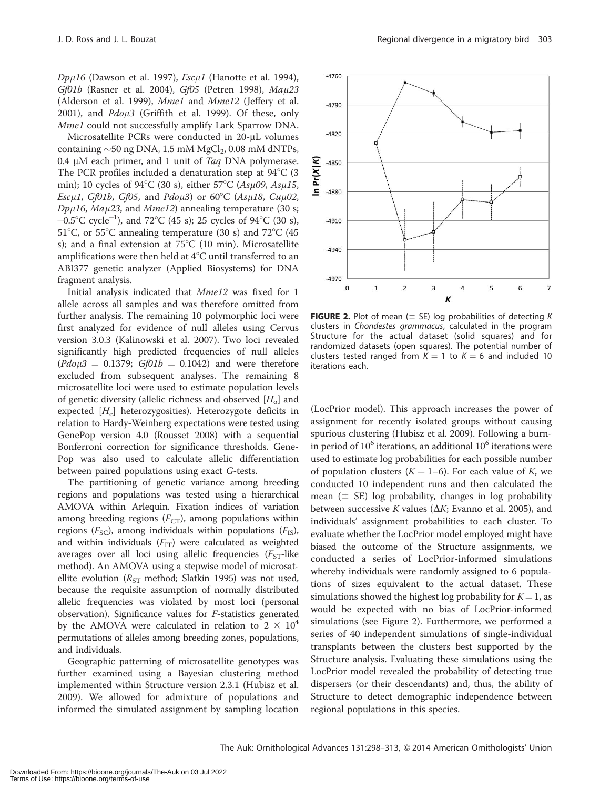$Dp\mu16$  (Dawson et al. 1997),  $Esc\mu1$  (Hanotte et al. 1994), Gf01b (Rasner et al. 2004), Gf05 (Petren 1998), Mau23 (Alderson et al. 1999), Mme1 and Mme12 (Jeffery et al. 2001), and  $Pd\rho\mu3$  (Griffith et al. 1999). Of these, only Mme1 could not successfully amplify Lark Sparrow DNA.

Microsatellite PCRs were conducted in 20-µL volumes containing  $\sim$  50 ng DNA, 1.5 mM MgCl<sub>2</sub>, 0.08 mM dNTPs, 0.4  $\mu$ M each primer, and 1 unit of Taq DNA polymerase. The PCR profiles included a denaturation step at  $94^{\circ}$ C (3) min); 10 cycles of 94°C (30 s), either 57°C (As $\mu$ 09, As $\mu$ 15, Escµ1, Gf01b, Gf05, and Pdoµ3) or  $60^{\circ}$ C (Asµ18, Cuµ02,  $Dp\mu16$ , Ma $\mu23$ , and Mme12) annealing temperature (30 s;  $-0.5^{\circ}$ C cycle<sup>-1</sup>), and 72°C (45 s); 25 cycles of 94°C (30 s), 51°C, or 55°C annealing temperature (30 s) and 72°C (45 s); and a final extension at  $75^{\circ}$ C (10 min). Microsatellite amplifications were then held at  $4^{\circ}$ C until transferred to an ABI377 genetic analyzer (Applied Biosystems) for DNA fragment analysis.

Initial analysis indicated that Mme12 was fixed for 1 allele across all samples and was therefore omitted from further analysis. The remaining 10 polymorphic loci were first analyzed for evidence of null alleles using Cervus version 3.0.3 (Kalinowski et al. 2007). Two loci revealed significantly high predicted frequencies of null alleles  $(Pd\rho\mu3 = 0.1379; Gf01b = 0.1042)$  and were therefore excluded from subsequent analyses. The remaining 8 microsatellite loci were used to estimate population levels of genetic diversity (allelic richness and observed  $[H_0]$  and expected  $[H<sub>e</sub>]$  heterozygosities). Heterozygote deficits in relation to Hardy-Weinberg expectations were tested using GenePop version 4.0 (Rousset 2008) with a sequential Bonferroni correction for significance thresholds. Gene-Pop was also used to calculate allelic differentiation between paired populations using exact G-tests.

The partitioning of genetic variance among breeding regions and populations was tested using a hierarchical AMOVA within Arlequin. Fixation indices of variation among breeding regions  $(F_{CT})$ , among populations within regions ( $F_{\rm SC}$ ), among individuals within populations ( $F_{\rm IS}$ ), and within individuals  $(F_{IT})$  were calculated as weighted averages over all loci using allelic frequencies  $(F<sub>ST</sub>-like$ method). An AMOVA using a stepwise model of microsatellite evolution ( $R_{ST}$  method; Slatkin 1995) was not used, because the requisite assumption of normally distributed allelic frequencies was violated by most loci (personal observation). Significance values for F-statistics generated by the AMOVA were calculated in relation to  $2 \times 10^4$ permutations of alleles among breeding zones, populations, and individuals.

Geographic patterning of microsatellite genotypes was further examined using a Bayesian clustering method implemented within Structure version 2.3.1 (Hubisz et al. 2009). We allowed for admixture of populations and informed the simulated assignment by sampling location



**FIGURE 2.** Plot of mean ( $\pm$  SE) log probabilities of detecting K clusters in Chondestes grammacus, calculated in the program Structure for the actual dataset (solid squares) and for randomized datasets (open squares). The potential number of clusters tested ranged from  $K = 1$  to  $K = 6$  and included 10 iterations each.

(LocPrior model). This approach increases the power of assignment for recently isolated groups without causing spurious clustering (Hubisz et al. 2009). Following a burnin period of  $10^6$  iterations, an additional  $10^6$  iterations were used to estimate log probabilities for each possible number of population clusters ( $K = 1-6$ ). For each value of K, we conducted 10 independent runs and then calculated the mean ( $\pm$  SE) log probability, changes in log probability between successive K values ( $\Delta K$ ; Evanno et al. 2005), and individuals' assignment probabilities to each cluster. To evaluate whether the LocPrior model employed might have biased the outcome of the Structure assignments, we conducted a series of LocPrior-informed simulations whereby individuals were randomly assigned to 6 populations of sizes equivalent to the actual dataset. These simulations showed the highest log probability for  $K=1$ , as would be expected with no bias of LocPrior-informed simulations (see Figure 2). Furthermore, we performed a series of 40 independent simulations of single-individual transplants between the clusters best supported by the Structure analysis. Evaluating these simulations using the LocPrior model revealed the probability of detecting true dispersers (or their descendants) and, thus, the ability of Structure to detect demographic independence between regional populations in this species.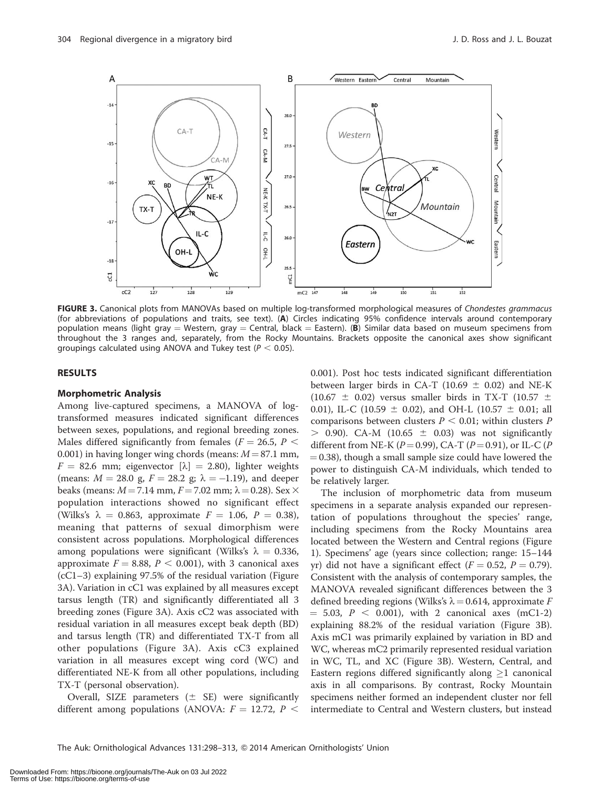

FIGURE 3. Canonical plots from MANOVAs based on multiple log-transformed morphological measures of Chondestes grammacus (for abbreviations of populations and traits, see text). (A) Circles indicating 95% confidence intervals around contemporary population means (light gray = Western, gray = Central, black = Eastern). (B) Similar data based on museum specimens from throughout the 3 ranges and, separately, from the Rocky Mountains. Brackets opposite the canonical axes show significant groupings calculated using ANOVA and Tukey test ( $P < 0.05$ ).

#### RESULTS

#### Morphometric Analysis

Among live-captured specimens, a MANOVA of logtransformed measures indicated significant differences between sexes, populations, and regional breeding zones. Males differed significantly from females ( $F = 26.5$ ,  $P <$ 0.001) in having longer wing chords (means:  $M = 87.1$  mm,  $F = 82.6$  mm; eigenvector  $[\lambda] = 2.80$ ), lighter weights (means:  $M = 28.0$  g,  $F = 28.2$  g;  $\lambda = -1.19$ ), and deeper beaks (means:  $M = 7.14$  mm,  $F = 7.02$  mm;  $\lambda = 0.28$ ). Sex  $\times$ population interactions showed no significant effect (Wilks's  $\lambda = 0.863$ , approximate  $F = 1.06$ ,  $P = 0.38$ ), meaning that patterns of sexual dimorphism were consistent across populations. Morphological differences among populations were significant (Wilks's  $\lambda = 0.336$ , approximate  $F = 8.88$ ,  $P < 0.001$ ), with 3 canonical axes (cC1–3) explaining 97.5% of the residual variation (Figure 3A). Variation in cC1 was explained by all measures except tarsus length (TR) and significantly differentiated all 3 breeding zones (Figure 3A). Axis cC2 was associated with residual variation in all measures except beak depth (BD) and tarsus length (TR) and differentiated TX-T from all other populations (Figure 3A). Axis cC3 explained variation in all measures except wing cord (WC) and differentiated NE-K from all other populations, including TX-T (personal observation).

Overall, SIZE parameters  $(\pm$  SE) were significantly different among populations (ANOVA:  $F = 12.72$ ,  $P <$ 

0.001). Post hoc tests indicated significant differentiation between larger birds in CA-T (10.69  $\pm$  0.02) and NE-K (10.67  $\pm$  0.02) versus smaller birds in TX-T (10.57  $\pm$ 0.01), IL-C (10.59  $\pm$  0.02), and OH-L (10.57  $\pm$  0.01; all comparisons between clusters  $P < 0.01$ ; within clusters P  $>$  0.90). CA-M (10.65  $\pm$  0.03) was not significantly different from NE-K ( $P = 0.99$ ), CA-T ( $P = 0.91$ ), or IL-C ( $P$  $= 0.38$ ), though a small sample size could have lowered the power to distinguish CA-M individuals, which tended to be relatively larger.

The inclusion of morphometric data from museum specimens in a separate analysis expanded our representation of populations throughout the species' range, including specimens from the Rocky Mountains area located between the Western and Central regions (Figure 1). Specimens' age (years since collection; range: 15–144 yr) did not have a significant effect ( $F = 0.52$ ,  $P = 0.79$ ). Consistent with the analysis of contemporary samples, the MANOVA revealed significant differences between the 3 defined breeding regions (Wilks's  $\lambda = 0.614$ , approximate F  $= 5.03, P < 0.001$ , with 2 canonical axes (mC1-2) explaining 88.2% of the residual variation (Figure 3B). Axis mC1 was primarily explained by variation in BD and WC, whereas mC2 primarily represented residual variation in WC, TL, and XC (Figure 3B). Western, Central, and Eastern regions differed significantly along  $\geq 1$  canonical axis in all comparisons. By contrast, Rocky Mountain specimens neither formed an independent cluster nor fell intermediate to Central and Western clusters, but instead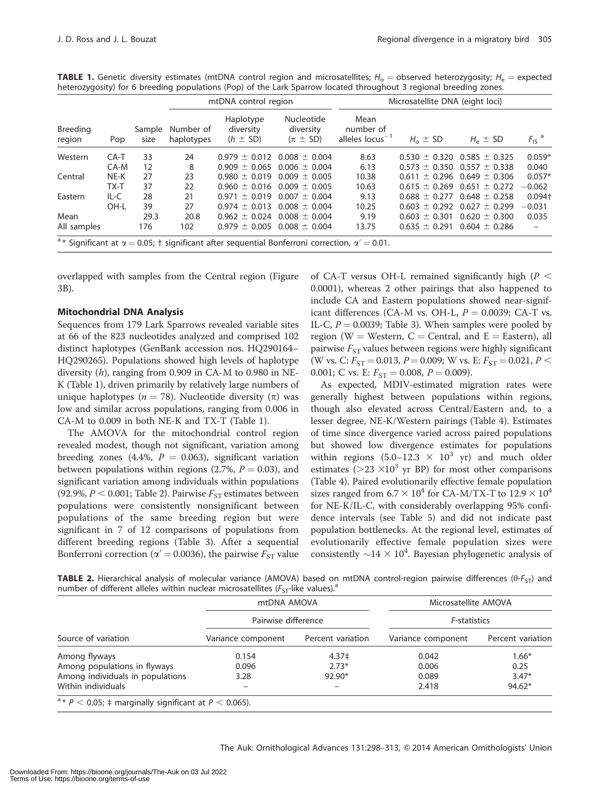|                           | Pop    | Sample<br>size | mtDNA control region    |                                                                                                                        |                                           | Microsatellite DNA (eight loci)           |                   |                                     |                              |  |
|---------------------------|--------|----------------|-------------------------|------------------------------------------------------------------------------------------------------------------------|-------------------------------------------|-------------------------------------------|-------------------|-------------------------------------|------------------------------|--|
| <b>Breeding</b><br>region |        |                | Number of<br>haplotypes | Haplotype<br>diversity<br>$(h \pm SD)$                                                                                 | Nucleotide<br>diversity<br>$(\pi \pm SD)$ | Mean<br>number of<br>alleles $locus^{-1}$ | $H_0 \pm SD$      | $H_e \pm SD$                        | $F_{\text{IS}}$ <sup>a</sup> |  |
| Western                   | $CA-T$ | 33             | 24                      |                                                                                                                        | $0.979 \pm 0.012$ 0.008 $\pm$ 0.004       | 8.63                                      |                   | $0.530 \pm 0.320$ $0.585 \pm 0.325$ | $0.059*$                     |  |
|                           | CA-M   | 12             | 8                       |                                                                                                                        | $0.909 \pm 0.065$ 0.006 $\pm$ 0.004       | 6.13                                      |                   | $0.573 \pm 0.350$ $0.557 \pm 0.338$ | 0.040                        |  |
| Central                   | NE-K   | 27             | 23                      |                                                                                                                        | $0.980 \pm 0.019$ $0.009 \pm 0.005$       | 10.38                                     |                   | $0.611 \pm 0.296$ 0.649 $\pm$ 0.306 | $0.057*$                     |  |
|                           | TX-T   | 37             | 22                      |                                                                                                                        | $0.960 \pm 0.016$ $0.009 \pm 0.005$       | 10.63                                     |                   | $0.615 \pm 0.269$ $0.651 \pm 0.272$ | $-0.062$                     |  |
| Eastern                   | $IL-C$ | 28             | 21                      |                                                                                                                        | $0.971 \pm 0.019$ 0.007 $\pm$ 0.004       | 9.13                                      |                   | $0.688 \pm 0.277$ 0.648 $\pm$ 0.258 | $0.094+$                     |  |
|                           | OH-L   | 39             | 27                      |                                                                                                                        | $0.974 \pm 0.013$ 0.008 $\pm$ 0.004       | 10.25                                     | $0.603 \pm 0.292$ | $0.627 \pm 0.299$                   | $-0.031$                     |  |
| Mean                      |        | 29.3           | 20.8                    |                                                                                                                        | $0.962 \pm 0.024$ 0.008 $\pm$ 0.004       | 9.19                                      |                   | $0.603 \pm 0.301$ $0.620 \pm 0.300$ | 0.035                        |  |
| All samples               |        | 176            | 102                     |                                                                                                                        | $0.979 \pm 0.005$ 0.008 $\pm$ 0.004       | 13.75                                     | $0.635 \pm 0.291$ | $0.604 \pm 0.286$                   |                              |  |
|                           |        |                |                         | <sup>a</sup> * Significant at $\alpha$ = 0.05; † significant after sequential Bonferroni correction, $\alpha'$ = 0.01. |                                           |                                           |                   |                                     |                              |  |

**TABLE 1.** Genetic diversity estimates (mtDNA control region and microsatellites;  $H_0 =$  observed heterozygosity;  $H_e =$  expected heterozygosity) for 6 breeding populations (Pop) of the Lark Sparrow located throughout 3 regional breeding zones.

overlapped with samples from the Central region (Figure 3B).

## Mitochondrial DNA Analysis

Sequences from 179 Lark Sparrows revealed variable sites at 66 of the 823 nucleotides analyzed and comprised 102 distinct haplotypes (GenBank accession nos. HQ290164– HQ290265). Populations showed high levels of haplotype diversity  $(h)$ , ranging from 0.909 in CA-M to 0.980 in NE-K (Table 1), driven primarily by relatively large numbers of unique haplotypes ( $n = 78$ ). Nucleotide diversity ( $\pi$ ) was low and similar across populations, ranging from 0.006 in CA-M to 0.009 in both NE-K and TX-T (Table 1).

The AMOVA for the mitochondrial control region revealed modest, though not significant, variation among breeding zones (4.4%,  $P = 0.063$ ), significant variation between populations within regions (2.7%,  $P = 0.03$ ), and significant variation among individuals within populations (92.9%,  $P < 0.001$ ; Table 2). Pairwise  $F_{ST}$  estimates between populations were consistently nonsignificant between populations of the same breeding region but were significant in 7 of 12 comparisons of populations from different breeding regions (Table 3). After a sequential Bonferroni correction ( $\alpha' = 0.0036$ ), the pairwise  $F_{ST}$  value

of CA-T versus OH-L remained significantly high ( $P <$ 0.0001), whereas 2 other pairings that also happened to include CA and Eastern populations showed near-significant differences (CA-M vs. OH-L,  $P = 0.0039$ ; CA-T vs. IL-C,  $P = 0.0039$ ; Table 3). When samples were pooled by region (W = Western,  $C =$  Central, and  $E =$  Eastern), all pairwise  $F_{ST}$  values between regions were highly significant (W vs. C:  $F_{ST} = 0.013$ ,  $P = 0.009$ ; W vs. E:  $F_{ST} = 0.021$ ,  $P <$ 0.001; C vs. E:  $F_{ST} = 0.008$ ,  $P = 0.009$ ).

As expected, MDIV-estimated migration rates were generally highest between populations within regions, though also elevated across Central/Eastern and, to a lesser degree, NE-K/Western pairings (Table 4). Estimates of time since divergence varied across paired populations but showed low divergence estimates for populations within regions  $(5.0-12.3 \times 10^3 \text{ yr})$  and much older estimates ( $>$ 23  $\times$ 10<sup>3</sup> yr BP) for most other comparisons (Table 4). Paired evolutionarily effective female population sizes ranged from  $6.7 \times 10^4$  for CA-M/TX-T to  $12.9 \times 10^4$ for NE-K/IL-C, with considerably overlapping 95% confidence intervals (see Table 5) and did not indicate past population bottlenecks. At the regional level, estimates of evolutionarily effective female population sizes were consistently  ${\sim}14 \times 10^4$ . Bayesian phylogenetic analysis of

**TABLE 2.** Hierarchical analysis of molecular variance (AMOVA) based on mtDNA control-region pairwise differences ( $\theta$ - $F_{ST}$ ) and number of different alleles within nuclear microsatellites ( $F_{ST}$ -like values).<sup>a</sup>

|                                                                        | mtDNA AMOVA         |                   | Microsatellite AMOVA<br><i>F</i> -statistics |                            |  |
|------------------------------------------------------------------------|---------------------|-------------------|----------------------------------------------|----------------------------|--|
|                                                                        | Pairwise difference |                   |                                              |                            |  |
| Source of variation                                                    | Variance component  | Percent variation | Variance component                           | Percent variation          |  |
| Among flyways                                                          | 0.154               | 4.37 <sup>‡</sup> | 0.042                                        | $1.66*$<br>0.25<br>$3.47*$ |  |
| Among populations in flyways                                           | 0.096               | $2.73*$           | 0.006<br>0.089                               |                            |  |
| Among individuals in populations                                       | 3.28                | $92.90*$          |                                              |                            |  |
| Within individuals                                                     | -                   |                   | 2.418                                        | $94.62*$                   |  |
| <sup>a</sup> * $P < 0.05$ ; ‡ marginally significant at $P < 0.065$ ). |                     |                   |                                              |                            |  |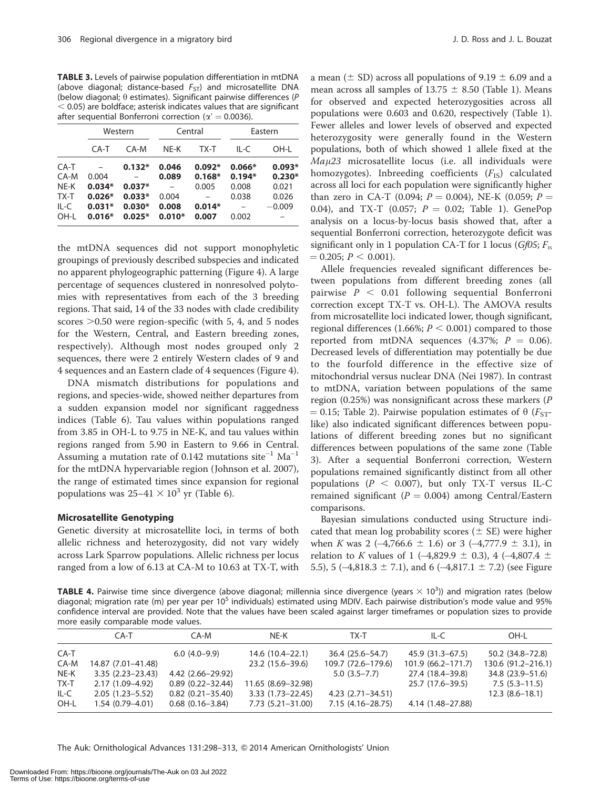TABLE 3. Levels of pairwise population differentiation in mtDNA (above diagonal; distance-based  $F_{ST}$ ) and microsatellite DNA (below diagonal;  $\theta$  estimates). Significant pairwise differences (P  $<$  0.05) are boldface; asterisk indicates values that are significant after sequential Bonferroni correction ( $\alpha' = 0.0036$ ).

|        | Western  |          |          | Central  | Eastern  |          |
|--------|----------|----------|----------|----------|----------|----------|
|        | CA-T     | CA-M     | NE-K     | TX-T     | IL-C     | OH-L     |
| $CA-T$ |          | $0.132*$ | 0.046    | $0.092*$ | $0.066*$ | $0.093*$ |
| CA-M   | 0.004    |          | 0.089    | $0.168*$ | $0.194*$ | $0.230*$ |
| NE-K   | $0.034*$ | $0.037*$ |          | 0.005    | 0.008    | 0.021    |
| TX-T   | $0.026*$ | $0.033*$ | 0.004    |          | 0.038    | 0.026    |
| IL-C   | $0.031*$ | $0.030*$ | 0.008    | $0.014*$ |          | $-0.009$ |
| OH-I   | $0.016*$ | $0.025*$ | $0.010*$ | 0.007    | 0.002    |          |

the mtDNA sequences did not support monophyletic groupings of previously described subspecies and indicated no apparent phylogeographic patterning (Figure 4). A large percentage of sequences clustered in nonresolved polytomies with representatives from each of the 3 breeding regions. That said, 14 of the 33 nodes with clade credibility scores  $>0.50$  were region-specific (with 5, 4, and 5 nodes for the Western, Central, and Eastern breeding zones, respectively). Although most nodes grouped only 2 sequences, there were 2 entirely Western clades of 9 and 4 sequences and an Eastern clade of 4 sequences (Figure 4).

DNA mismatch distributions for populations and regions, and species-wide, showed neither departures from a sudden expansion model nor significant raggedness indices (Table 6). Tau values within populations ranged from 3.85 in OH-L to 9.75 in NE-K, and tau values within regions ranged from 5.90 in Eastern to 9.66 in Central. Assuming a mutation rate of 0.142 mutations site<sup>-1</sup>  $\text{Ma}^{-1}$ for the mtDNA hypervariable region (Johnson et al. 2007), the range of estimated times since expansion for regional populations was  $25-41 \times 10^3$  yr (Table 6).

#### Microsatellite Genotyping

Genetic diversity at microsatellite loci, in terms of both allelic richness and heterozygosity, did not vary widely across Lark Sparrow populations. Allelic richness per locus ranged from a low of 6.13 at CA-M to 10.63 at TX-T, with

a mean ( $\pm$  SD) across all populations of 9.19  $\pm$  6.09 and a mean across all samples of 13.75  $\pm$  8.50 (Table 1). Means for observed and expected heterozygosities across all populations were 0.603 and 0.620, respectively (Table 1). Fewer alleles and lower levels of observed and expected heterozygosity were generally found in the Western populations, both of which showed 1 allele fixed at the  $Ma\mu$ 23 microsatellite locus (i.e. all individuals were homozygotes). Inbreeding coefficients  $(F_{IS})$  calculated across all loci for each population were significantly higher than zero in CA-T (0.094;  $P = 0.004$ ), NE-K (0.059;  $P =$ 0.04), and TX-T (0.057;  $P = 0.02$ ; Table 1). GenePop analysis on a locus-by-locus basis showed that, after a sequential Bonferroni correction, heterozygote deficit was significant only in 1 population CA-T for 1 locus (Gf05;  $F_{IS}$ )  $= 0.205; P \le 0.001$ ).

Allele frequencies revealed significant differences between populations from different breeding zones (all pairwise  $P < 0.01$  following sequential Bonferroni correction except TX-T vs. OH-L). The AMOVA results from microsatellite loci indicated lower, though significant, regional differences (1.66%;  $P < 0.001$ ) compared to those reported from mtDNA sequences (4.37%;  $P = 0.06$ ). Decreased levels of differentiation may potentially be due to the fourfold difference in the effective size of mitochondrial versus nuclear DNA (Nei 1987). In contrast to mtDNA, variation between populations of the same region  $(0.25%)$  was nonsignificant across these markers  $(P)$  $= 0.15$ ; Table 2). Pairwise population estimates of  $\theta$  ( $F_{ST}$ like) also indicated significant differences between populations of different breeding zones but no significant differences between populations of the same zone (Table 3). After a sequential Bonferroni correction, Western populations remained significantly distinct from all other populations ( $P < 0.007$ ), but only TX-T versus IL-C remained significant ( $P = 0.004$ ) among Central/Eastern comparisons.

Bayesian simulations conducted using Structure indicated that mean log probability scores ( $\pm$  SE) were higher when K was  $2 (-4,766.6 \pm 1.6)$  or  $3 (-4,777.9 \pm 3.1)$ , in relation to K values of 1 (-4,829.9  $\pm$  0.3), 4 (-4,807.4  $\pm$ 5.5), 5 ( $-4,818.3 \pm 7.1$ ), and 6 ( $-4,817.1 \pm 7.2$ ) (see Figure

TABLE 4. Pairwise time since divergence (above diagonal; millennia since divergence (years  $\times$  10<sup>3</sup>)) and migration rates (below diagonal; migration rate (m) per year per 10<sup>5</sup> individuals) estimated using MDIV. Each pairwise distribution's mode value and 95% confidence interval are provided. Note that the values have been scaled against larger timeframes or population sizes to provide more easily comparable mode values.

|        | CA-T                 | CA-M                   | NE-K                 | TX-T                    | IL-C                  | OH-L               |
|--------|----------------------|------------------------|----------------------|-------------------------|-----------------------|--------------------|
| CA-T   |                      | $6.0(4.0-9.9)$         | 14.6 (10.4 - 22.1)   | 36.4 (25.6–54.7)        | 45.9 (31.3–67.5)      | 50.2 (34.8–72.8)   |
| CA-M   | 14.87 (7.01-41.48)   |                        | 23.2 (15.6–39.6)     | 109.7 (72.6-179.6)      | $101.9(66.2 - 171.7)$ | 130.6 (91.2-216.1) |
| NE-K   | $3.35(2.23 - 23.43)$ | 4.42 (2.66–29.92)      |                      | $5.0(3.5 - 7.7)$        | 27.4 (18.4–39.8)      | 34.8 (23.9–51.6)   |
| TX-T   | $2.17(1.09 - 4.92)$  | $0.89(0.22 - 32.44)$   | 11.65 (8.69-32.98)   |                         | 25.7 (17.6–39.5)      | $7.5(5.3-11.5)$    |
| $IL-C$ | $2.05(1.23 - 5.52)$  | $0.82(0.21 - 35.40)$   | $3.33(1.73 - 22.45)$ | $4.23$ $(2.71 - 34.51)$ |                       | $12.3(8.6-18.1)$   |
| OH-L   | $1.54(0.79 - 4.01)$  | $0.68$ $(0.16 - 3.84)$ | $7.73(5.21 - 31.00)$ | 7.15 (4.16 - 28.75)     | 4.14 (1.48–27.88)     |                    |

The Auk: Ornithological Advances 131:298–313, Q 2014 American Ornithologists' Union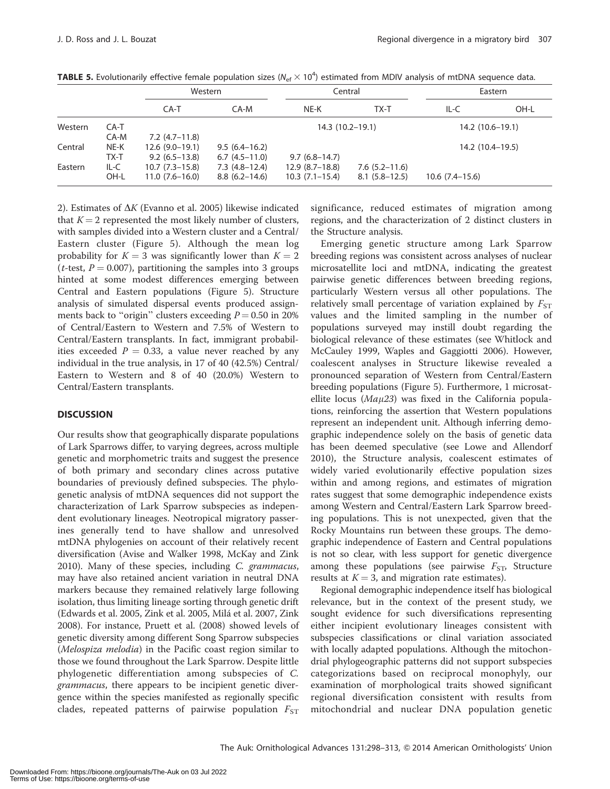|         |                | Western                              |                                      | Central                              |                                      | Eastern           |      |
|---------|----------------|--------------------------------------|--------------------------------------|--------------------------------------|--------------------------------------|-------------------|------|
|         |                | CA-T                                 | CA-M                                 | NE-K                                 | TX-T                                 | $IL-C$            | OH-L |
| Western | CA-T<br>CA-M   | $7.2(4.7-11.8)$                      |                                      | $14.3(10.2-19.1)$                    |                                      | $14.2(10.6-19.1)$ |      |
| Central | NE-K<br>TX-T   | $12.6(9.0-19.1)$<br>$9.2(6.5-13.8)$  | $9.5(6.4-16.2)$<br>$6.7(4.5-11.0)$   | $9.7(6.8-14.7)$                      |                                      | $14.2(10.4-19.5)$ |      |
| Eastern | $IL-C$<br>OH-L | $10.7(7.3-15.8)$<br>$11.0(7.6-16.0)$ | $7.3(4.8-12.4)$<br>$8.8(6.2 - 14.6)$ | $12.9(8.7-18.8)$<br>$10.3(7.1-15.4)$ | $7.6(5.2 - 11.6)$<br>$8.1(5.8-12.5)$ | $10.6(7.4-15.6)$  |      |

**TABLE 5.** Evolutionarily effective female population sizes ( $N_{\text{ef}} \times 10^4$ ) estimated from MDIV analysis of mtDNA sequence data.

2). Estimates of  $\Delta K$  (Evanno et al. 2005) likewise indicated that  $K = 2$  represented the most likely number of clusters, with samples divided into a Western cluster and a Central/ Eastern cluster (Figure 5). Although the mean log probability for  $K = 3$  was significantly lower than  $K = 2$ (*t*-test,  $P = 0.007$ ), partitioning the samples into 3 groups hinted at some modest differences emerging between Central and Eastern populations (Figure 5). Structure analysis of simulated dispersal events produced assignments back to "origin" clusters exceeding  $P = 0.50$  in 20% of Central/Eastern to Western and 7.5% of Western to Central/Eastern transplants. In fact, immigrant probabilities exceeded  $P = 0.33$ , a value never reached by any individual in the true analysis, in 17 of 40 (42.5%) Central/ Eastern to Western and 8 of 40 (20.0%) Western to Central/Eastern transplants.

#### **DISCUSSION**

Our results show that geographically disparate populations of Lark Sparrows differ, to varying degrees, across multiple genetic and morphometric traits and suggest the presence of both primary and secondary clines across putative boundaries of previously defined subspecies. The phylogenetic analysis of mtDNA sequences did not support the characterization of Lark Sparrow subspecies as independent evolutionary lineages. Neotropical migratory passerines generally tend to have shallow and unresolved mtDNA phylogenies on account of their relatively recent diversification (Avise and Walker 1998, McKay and Zink 2010). Many of these species, including C. grammacus, may have also retained ancient variation in neutral DNA markers because they remained relatively large following isolation, thus limiting lineage sorting through genetic drift (Edwards et al. 2005, Zink et al. 2005, Milá et al. 2007, Zink 2008). For instance, Pruett et al. (2008) showed levels of genetic diversity among different Song Sparrow subspecies (Melospiza melodia) in the Pacific coast region similar to those we found throughout the Lark Sparrow. Despite little phylogenetic differentiation among subspecies of C. grammacus, there appears to be incipient genetic divergence within the species manifested as regionally specific clades, repeated patterns of pairwise population  $F_{ST}$ 

significance, reduced estimates of migration among regions, and the characterization of 2 distinct clusters in the Structure analysis.

Emerging genetic structure among Lark Sparrow breeding regions was consistent across analyses of nuclear microsatellite loci and mtDNA, indicating the greatest pairwise genetic differences between breeding regions, particularly Western versus all other populations. The relatively small percentage of variation explained by  $F_{ST}$ values and the limited sampling in the number of populations surveyed may instill doubt regarding the biological relevance of these estimates (see Whitlock and McCauley 1999, Waples and Gaggiotti 2006). However, coalescent analyses in Structure likewise revealed a pronounced separation of Western from Central/Eastern breeding populations (Figure 5). Furthermore, 1 microsatellite locus ( $Ma\mu23$ ) was fixed in the California populations, reinforcing the assertion that Western populations represent an independent unit. Although inferring demographic independence solely on the basis of genetic data has been deemed speculative (see Lowe and Allendorf 2010), the Structure analysis, coalescent estimates of widely varied evolutionarily effective population sizes within and among regions, and estimates of migration rates suggest that some demographic independence exists among Western and Central/Eastern Lark Sparrow breeding populations. This is not unexpected, given that the Rocky Mountains run between these groups. The demographic independence of Eastern and Central populations is not so clear, with less support for genetic divergence among these populations (see pairwise  $F_{ST}$ , Structure results at  $K = 3$ , and migration rate estimates).

Regional demographic independence itself has biological relevance, but in the context of the present study, we sought evidence for such diversifications representing either incipient evolutionary lineages consistent with subspecies classifications or clinal variation associated with locally adapted populations. Although the mitochondrial phylogeographic patterns did not support subspecies categorizations based on reciprocal monophyly, our examination of morphological traits showed significant regional diversification consistent with results from mitochondrial and nuclear DNA population genetic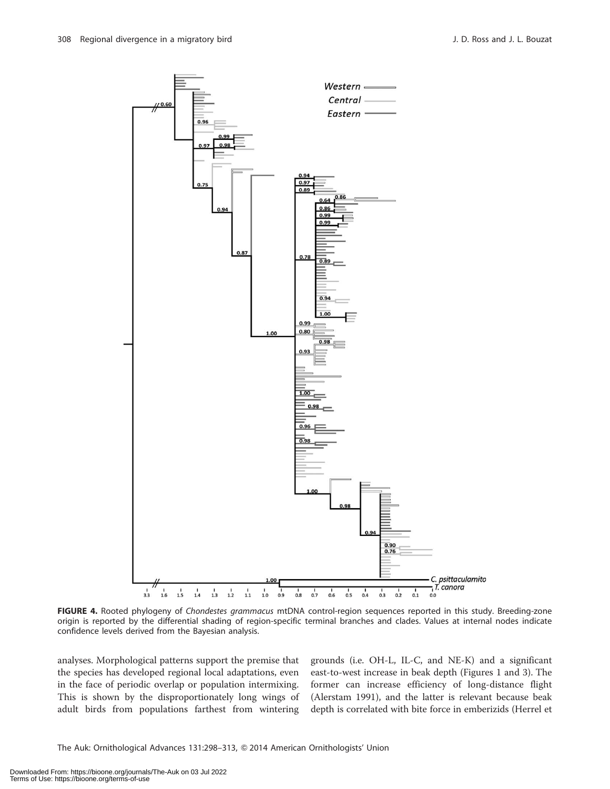

FIGURE 4. Rooted phylogeny of Chondestes grammacus mtDNA control-region sequences reported in this study. Breeding-zone origin is reported by the differential shading of region-specific terminal branches and clades. Values at internal nodes indicate confidence levels derived from the Bayesian analysis.

analyses. Morphological patterns support the premise that the species has developed regional local adaptations, even in the face of periodic overlap or population intermixing. This is shown by the disproportionately long wings of adult birds from populations farthest from wintering grounds (i.e. OH-L, IL-C, and NE-K) and a significant east-to-west increase in beak depth (Figures 1 and 3). The former can increase efficiency of long-distance flight (Alerstam 1991), and the latter is relevant because beak depth is correlated with bite force in emberizids (Herrel et

The Auk: Ornithological Advances 131:298-313, @ 2014 American Ornithologists' Union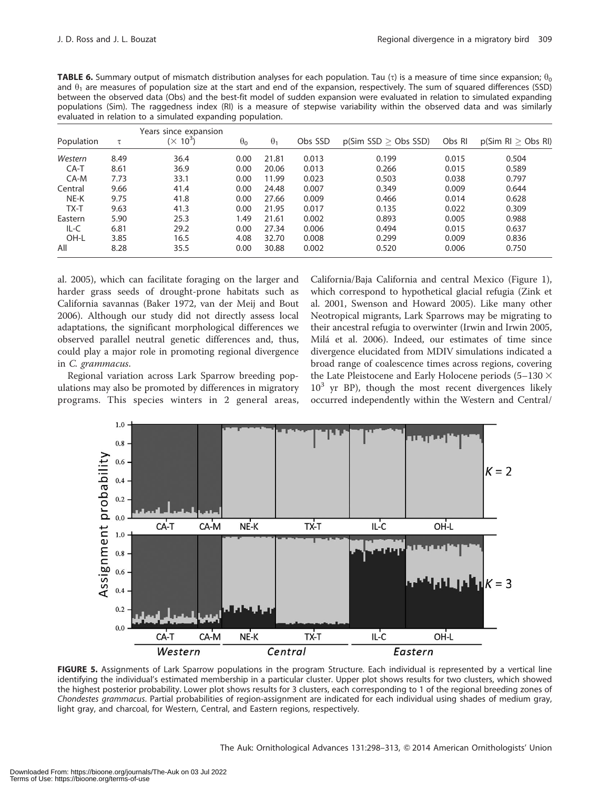| <b>TABLE 6.</b> Summary output of mismatch distribution analyses for each population. Tau ( $\tau$ ) is a measure of time since expansion; $\theta_0$ |
|-------------------------------------------------------------------------------------------------------------------------------------------------------|
| and $\theta_1$ are measures of population size at the start and end of the expansion, respectively. The sum of squared differences (SSD)              |
| between the observed data (Obs) and the best-fit model of sudden expansion were evaluated in relation to simulated expanding                          |
| populations (Sim). The raggedness index (RI) is a measure of stepwise variability within the observed data and was similarly                          |
| evaluated in relation to a simulated expanding population.                                                                                            |

| Population | τ    | Years since expansion<br>$(\times 10^3)$ | $\theta_{0}$ | $\theta_1$ | Obs SSD | p(Sim SSD > Obs SSD) | Obs RI | $p(Sim \, R) > Obs \, R)$ |
|------------|------|------------------------------------------|--------------|------------|---------|----------------------|--------|---------------------------|
| Western    | 8.49 | 36.4                                     | 0.00         | 21.81      | 0.013   | 0.199                | 0.015  | 0.504                     |
| $CA-T$     | 8.61 | 36.9                                     | 0.00         | 20.06      | 0.013   | 0.266                | 0.015  | 0.589                     |
| $CA-M$     | 7.73 | 33.1                                     | 0.00         | 11.99      | 0.023   | 0.503                | 0.038  | 0.797                     |
| Central    | 9.66 | 41.4                                     | 0.00         | 24.48      | 0.007   | 0.349                | 0.009  | 0.644                     |
| NE-K       | 9.75 | 41.8                                     | 0.00         | 27.66      | 0.009   | 0.466                | 0.014  | 0.628                     |
| TX-T       | 9.63 | 41.3                                     | 0.00         | 21.95      | 0.017   | 0.135                | 0.022  | 0.309                     |
| Eastern    | 5.90 | 25.3                                     | 1.49         | 21.61      | 0.002   | 0.893                | 0.005  | 0.988                     |
| IL-C       | 6.81 | 29.2                                     | 0.00         | 27.34      | 0.006   | 0.494                | 0.015  | 0.637                     |
| OH-L       | 3.85 | 16.5                                     | 4.08         | 32.70      | 0.008   | 0.299                | 0.009  | 0.836                     |
| All        | 8.28 | 35.5                                     | 0.00         | 30.88      | 0.002   | 0.520                | 0.006  | 0.750                     |

al. 2005), which can facilitate foraging on the larger and harder grass seeds of drought-prone habitats such as California savannas (Baker 1972, van der Meij and Bout 2006). Although our study did not directly assess local adaptations, the significant morphological differences we observed parallel neutral genetic differences and, thus, could play a major role in promoting regional divergence in C. grammacus.

Regional variation across Lark Sparrow breeding populations may also be promoted by differences in migratory programs. This species winters in 2 general areas, California/Baja California and central Mexico (Figure 1), which correspond to hypothetical glacial refugia (Zink et al. 2001, Swenson and Howard 2005). Like many other Neotropical migrants, Lark Sparrows may be migrating to their ancestral refugia to overwinter (Irwin and Irwin 2005, Mila´ et al. 2006). Indeed, our estimates of time since divergence elucidated from MDIV simulations indicated a broad range of coalescence times across regions, covering the Late Pleistocene and Early Holocene periods (5–130  $\times$  $10<sup>3</sup>$  yr BP), though the most recent divergences likely occurred independently within the Western and Central/



FIGURE 5. Assignments of Lark Sparrow populations in the program Structure. Each individual is represented by a vertical line identifying the individual's estimated membership in a particular cluster. Upper plot shows results for two clusters, which showed the highest posterior probability. Lower plot shows results for 3 clusters, each corresponding to 1 of the regional breeding zones of Chondestes grammacus. Partial probabilities of region-assignment are indicated for each individual using shades of medium gray, light gray, and charcoal, for Western, Central, and Eastern regions, respectively.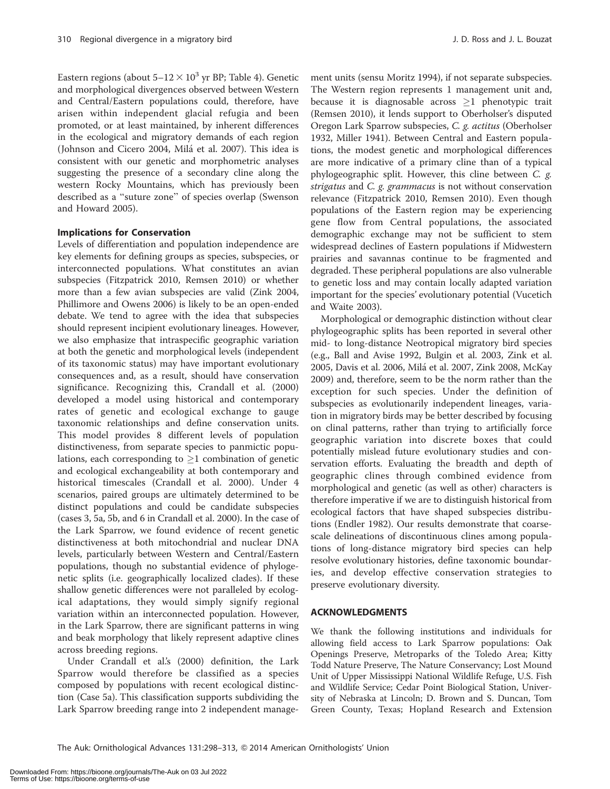Eastern regions (about  $5-12 \times 10^3$  yr BP; Table 4). Genetic and morphological divergences observed between Western and Central/Eastern populations could, therefore, have arisen within independent glacial refugia and been promoted, or at least maintained, by inherent differences in the ecological and migratory demands of each region (Johnson and Cicero 2004, Milá et al. 2007). This idea is consistent with our genetic and morphometric analyses suggesting the presence of a secondary cline along the western Rocky Mountains, which has previously been described as a ''suture zone'' of species overlap (Swenson and Howard 2005).

#### Implications for Conservation

Levels of differentiation and population independence are key elements for defining groups as species, subspecies, or interconnected populations. What constitutes an avian subspecies (Fitzpatrick 2010, Remsen 2010) or whether more than a few avian subspecies are valid (Zink 2004, Phillimore and Owens 2006) is likely to be an open-ended debate. We tend to agree with the idea that subspecies should represent incipient evolutionary lineages. However, we also emphasize that intraspecific geographic variation at both the genetic and morphological levels (independent of its taxonomic status) may have important evolutionary consequences and, as a result, should have conservation significance. Recognizing this, Crandall et al. (2000) developed a model using historical and contemporary rates of genetic and ecological exchange to gauge taxonomic relationships and define conservation units. This model provides 8 different levels of population distinctiveness, from separate species to panmictic populations, each corresponding to  $\geq 1$  combination of genetic and ecological exchangeability at both contemporary and historical timescales (Crandall et al. 2000). Under 4 scenarios, paired groups are ultimately determined to be distinct populations and could be candidate subspecies (cases 3, 5a, 5b, and 6 in Crandall et al. 2000). In the case of the Lark Sparrow, we found evidence of recent genetic distinctiveness at both mitochondrial and nuclear DNA levels, particularly between Western and Central/Eastern populations, though no substantial evidence of phylogenetic splits (i.e. geographically localized clades). If these shallow genetic differences were not paralleled by ecological adaptations, they would simply signify regional variation within an interconnected population. However, in the Lark Sparrow, there are significant patterns in wing and beak morphology that likely represent adaptive clines across breeding regions.

Under Crandall et al.'s (2000) definition, the Lark Sparrow would therefore be classified as a species composed by populations with recent ecological distinction (Case 5a). This classification supports subdividing the Lark Sparrow breeding range into 2 independent management units (sensu Moritz 1994), if not separate subspecies. The Western region represents 1 management unit and, because it is diagnosable across  $\geq 1$  phenotypic trait (Remsen 2010), it lends support to Oberholser's disputed Oregon Lark Sparrow subspecies, C. g. actitus (Oberholser 1932, Miller 1941). Between Central and Eastern populations, the modest genetic and morphological differences are more indicative of a primary cline than of a typical phylogeographic split. However, this cline between C. g. strigatus and C. g. grammacus is not without conservation relevance (Fitzpatrick 2010, Remsen 2010). Even though populations of the Eastern region may be experiencing gene flow from Central populations, the associated demographic exchange may not be sufficient to stem widespread declines of Eastern populations if Midwestern prairies and savannas continue to be fragmented and degraded. These peripheral populations are also vulnerable to genetic loss and may contain locally adapted variation important for the species' evolutionary potential (Vucetich and Waite 2003).

Morphological or demographic distinction without clear phylogeographic splits has been reported in several other mid- to long-distance Neotropical migratory bird species (e.g., Ball and Avise 1992, Bulgin et al. 2003, Zink et al. 2005, Davis et al. 2006, Milá et al. 2007, Zink 2008, McKay 2009) and, therefore, seem to be the norm rather than the exception for such species. Under the definition of subspecies as evolutionarily independent lineages, variation in migratory birds may be better described by focusing on clinal patterns, rather than trying to artificially force geographic variation into discrete boxes that could potentially mislead future evolutionary studies and conservation efforts. Evaluating the breadth and depth of geographic clines through combined evidence from morphological and genetic (as well as other) characters is therefore imperative if we are to distinguish historical from ecological factors that have shaped subspecies distributions (Endler 1982). Our results demonstrate that coarsescale delineations of discontinuous clines among populations of long-distance migratory bird species can help resolve evolutionary histories, define taxonomic boundaries, and develop effective conservation strategies to preserve evolutionary diversity.

#### ACKNOWLEDGMENTS

We thank the following institutions and individuals for allowing field access to Lark Sparrow populations: Oak Openings Preserve, Metroparks of the Toledo Area; Kitty Todd Nature Preserve, The Nature Conservancy; Lost Mound Unit of Upper Mississippi National Wildlife Refuge, U.S. Fish and Wildlife Service; Cedar Point Biological Station, University of Nebraska at Lincoln; D. Brown and S. Duncan, Tom Green County, Texas; Hopland Research and Extension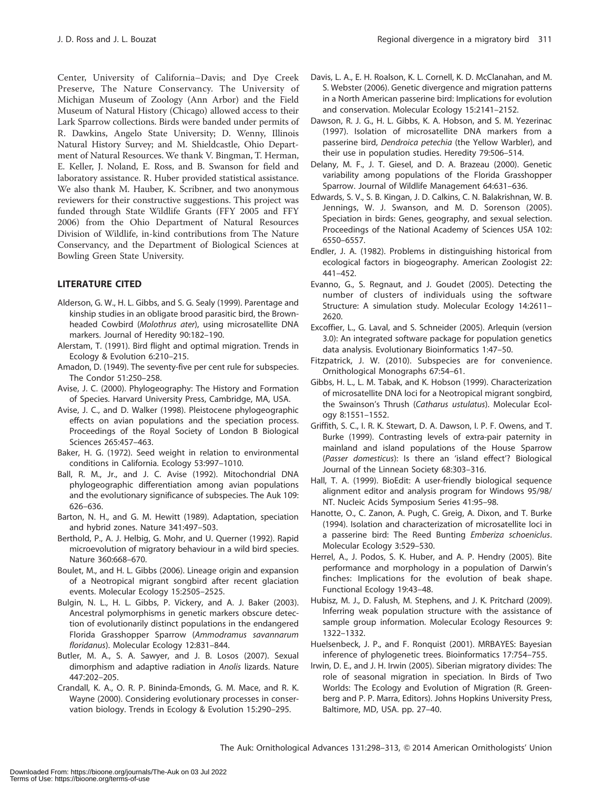Center, University of California–Davis; and Dye Creek Preserve, The Nature Conservancy. The University of Michigan Museum of Zoology (Ann Arbor) and the Field Museum of Natural History (Chicago) allowed access to their Lark Sparrow collections. Birds were banded under permits of R. Dawkins, Angelo State University; D. Wenny, Illinois Natural History Survey; and M. Shieldcastle, Ohio Department of Natural Resources. We thank V. Bingman, T. Herman, E. Keller, J. Noland, E. Ross, and B. Swanson for field and laboratory assistance. R. Huber provided statistical assistance. We also thank M. Hauber, K. Scribner, and two anonymous reviewers for their constructive suggestions. This project was funded through State Wildlife Grants (FFY 2005 and FFY 2006) from the Ohio Department of Natural Resources Division of Wildlife, in-kind contributions from The Nature Conservancy, and the Department of Biological Sciences at Bowling Green State University.

## LITERATURE CITED

- Alderson, G. W., H. L. Gibbs, and S. G. Sealy (1999). Parentage and kinship studies in an obligate brood parasitic bird, the Brownheaded Cowbird (Molothrus ater), using microsatellite DNA markers. Journal of Heredity 90:182–190.
- Alerstam, T. (1991). Bird flight and optimal migration. Trends in Ecology & Evolution 6:210–215.
- Amadon, D. (1949). The seventy-five per cent rule for subspecies. The Condor 51:250–258.
- Avise, J. C. (2000). Phylogeography: The History and Formation of Species. Harvard University Press, Cambridge, MA, USA.
- Avise, J. C., and D. Walker (1998). Pleistocene phylogeographic effects on avian populations and the speciation process. Proceedings of the Royal Society of London B Biological Sciences 265:457–463.
- Baker, H. G. (1972). Seed weight in relation to environmental conditions in California. Ecology 53:997–1010.
- Ball, R. M., Jr., and J. C. Avise (1992). Mitochondrial DNA phylogeographic differentiation among avian populations and the evolutionary significance of subspecies. The Auk 109: 626–636.
- Barton, N. H., and G. M. Hewitt (1989). Adaptation, speciation and hybrid zones. Nature 341:497–503.
- Berthold, P., A. J. Helbig, G. Mohr, and U. Querner (1992). Rapid microevolution of migratory behaviour in a wild bird species. Nature 360:668–670.
- Boulet, M., and H. L. Gibbs (2006). Lineage origin and expansion of a Neotropical migrant songbird after recent glaciation events. Molecular Ecology 15:2505–2525.
- Bulgin, N. L., H. L. Gibbs, P. Vickery, and A. J. Baker (2003). Ancestral polymorphisms in genetic markers obscure detection of evolutionarily distinct populations in the endangered Florida Grasshopper Sparrow (Ammodramus savannarum floridanus). Molecular Ecology 12:831–844.
- Butler, M. A., S. A. Sawyer, and J. B. Losos (2007). Sexual dimorphism and adaptive radiation in Anolis lizards. Nature 447:202–205.
- Crandall, K. A., O. R. P. Bininda-Emonds, G. M. Mace, and R. K. Wayne (2000). Considering evolutionary processes in conservation biology. Trends in Ecology & Evolution 15:290–295.
- Davis, L. A., E. H. Roalson, K. L. Cornell, K. D. McClanahan, and M. S. Webster (2006). Genetic divergence and migration patterns in a North American passerine bird: Implications for evolution and conservation. Molecular Ecology 15:2141–2152.
- Dawson, R. J. G., H. L. Gibbs, K. A. Hobson, and S. M. Yezerinac (1997). Isolation of microsatellite DNA markers from a passerine bird, Dendroica petechia (the Yellow Warbler), and their use in population studies. Heredity 79:506–514.
- Delany, M. F., J. T. Giesel, and D. A. Brazeau (2000). Genetic variability among populations of the Florida Grasshopper Sparrow. Journal of Wildlife Management 64:631–636.
- Edwards, S. V., S. B. Kingan, J. D. Calkins, C. N. Balakrishnan, W. B. Jennings, W. J. Swanson, and M. D. Sorenson (2005). Speciation in birds: Genes, geography, and sexual selection. Proceedings of the National Academy of Sciences USA 102: 6550–6557.
- Endler, J. A. (1982). Problems in distinguishing historical from ecological factors in biogeography. American Zoologist 22: 441–452.
- Evanno, G., S. Regnaut, and J. Goudet (2005). Detecting the number of clusters of individuals using the software Structure: A simulation study. Molecular Ecology 14:2611– 2620.
- Excoffier, L., G. Laval, and S. Schneider (2005). Arlequin (version 3.0): An integrated software package for population genetics data analysis. Evolutionary Bioinformatics 1:47–50.
- Fitzpatrick, J. W. (2010). Subspecies are for convenience. Ornithological Monographs 67:54–61.
- Gibbs, H. L., L. M. Tabak, and K. Hobson (1999). Characterization of microsatellite DNA loci for a Neotropical migrant songbird, the Swainson's Thrush (Catharus ustulatus). Molecular Ecology 8:1551–1552.
- Griffith, S. C., I. R. K. Stewart, D. A. Dawson, I. P. F. Owens, and T. Burke (1999). Contrasting levels of extra-pair paternity in mainland and island populations of the House Sparrow (Passer domesticus): Is there an 'island effect'? Biological Journal of the Linnean Society 68:303–316.
- Hall, T. A. (1999). BioEdit: A user-friendly biological sequence alignment editor and analysis program for Windows 95/98/ NT. Nucleic Acids Symposium Series 41:95–98.
- Hanotte, O., C. Zanon, A. Pugh, C. Greig, A. Dixon, and T. Burke (1994). Isolation and characterization of microsatellite loci in a passerine bird: The Reed Bunting Emberiza schoeniclus. Molecular Ecology 3:529–530.
- Herrel, A., J. Podos, S. K. Huber, and A. P. Hendry (2005). Bite performance and morphology in a population of Darwin's finches: Implications for the evolution of beak shape. Functional Ecology 19:43–48.
- Hubisz, M. J., D. Falush, M. Stephens, and J. K. Pritchard (2009). Inferring weak population structure with the assistance of sample group information. Molecular Ecology Resources 9: 1322–1332.
- Huelsenbeck, J. P., and F. Ronquist (2001). MRBAYES: Bayesian inference of phylogenetic trees. Bioinformatics 17:754–755.
- Irwin, D. E., and J. H. Irwin (2005). Siberian migratory divides: The role of seasonal migration in speciation. In Birds of Two Worlds: The Ecology and Evolution of Migration (R. Greenberg and P. P. Marra, Editors). Johns Hopkins University Press, Baltimore, MD, USA. pp. 27–40.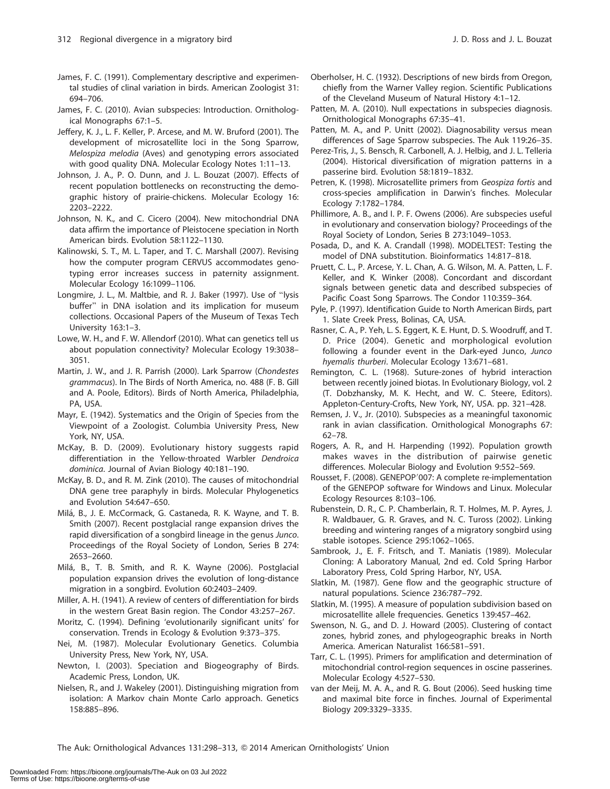- James, F. C. (1991). Complementary descriptive and experimental studies of clinal variation in birds. American Zoologist 31: 694–706.
- James, F. C. (2010). Avian subspecies: Introduction. Ornithological Monographs 67:1–5.
- Jeffery, K. J., L. F. Keller, P. Arcese, and M. W. Bruford (2001). The development of microsatellite loci in the Song Sparrow, Melospiza melodia (Aves) and genotyping errors associated with good quality DNA. Molecular Ecology Notes 1:11–13.
- Johnson, J. A., P. O. Dunn, and J. L. Bouzat (2007). Effects of recent population bottlenecks on reconstructing the demographic history of prairie-chickens. Molecular Ecology 16: 2203–2222.
- Johnson, N. K., and C. Cicero (2004). New mitochondrial DNA data affirm the importance of Pleistocene speciation in North American birds. Evolution 58:1122–1130.
- Kalinowski, S. T., M. L. Taper, and T. C. Marshall (2007). Revising how the computer program CERVUS accommodates genotyping error increases success in paternity assignment. Molecular Ecology 16:1099–1106.
- Longmire, J. L., M. Maltbie, and R. J. Baker (1997). Use of ''lysis buffer'' in DNA isolation and its implication for museum collections. Occasional Papers of the Museum of Texas Tech University 163:1–3.
- Lowe, W. H., and F. W. Allendorf (2010). What can genetics tell us about population connectivity? Molecular Ecology 19:3038– 3051.
- Martin, J. W., and J. R. Parrish (2000). Lark Sparrow (Chondestes grammacus). In The Birds of North America, no. 488 (F. B. Gill and A. Poole, Editors). Birds of North America, Philadelphia, PA, USA.
- Mayr, E. (1942). Systematics and the Origin of Species from the Viewpoint of a Zoologist. Columbia University Press, New York, NY, USA.
- McKay, B. D. (2009). Evolutionary history suggests rapid differentiation in the Yellow-throated Warbler Dendroica dominica. Journal of Avian Biology 40:181–190.
- McKay, B. D., and R. M. Zink (2010). The causes of mitochondrial DNA gene tree paraphyly in birds. Molecular Phylogenetics and Evolution 54:647–650.
- Milá, B., J. E. McCormack, G. Castaneda, R. K. Wayne, and T. B. Smith (2007). Recent postglacial range expansion drives the rapid diversification of a songbird lineage in the genus Junco. Proceedings of the Royal Society of London, Series B 274: 2653–2660.
- Milá, B., T. B. Smith, and R. K. Wayne (2006). Postglacial population expansion drives the evolution of long-distance migration in a songbird. Evolution 60:2403–2409.
- Miller, A. H. (1941). A review of centers of differentiation for birds in the western Great Basin region. The Condor 43:257–267.
- Moritz, C. (1994). Defining 'evolutionarily significant units' for conservation. Trends in Ecology & Evolution 9:373–375.
- Nei, M. (1987). Molecular Evolutionary Genetics. Columbia University Press, New York, NY, USA.
- Newton, I. (2003). Speciation and Biogeography of Birds. Academic Press, London, UK.
- Nielsen, R., and J. Wakeley (2001). Distinguishing migration from isolation: A Markov chain Monte Carlo approach. Genetics 158:885–896.
- Oberholser, H. C. (1932). Descriptions of new birds from Oregon, chiefly from the Warner Valley region. Scientific Publications of the Cleveland Museum of Natural History 4:1–12.
- Patten, M. A. (2010). Null expectations in subspecies diagnosis. Ornithological Monographs 67:35–41.
- Patten, M. A., and P. Unitt (2002). Diagnosability versus mean differences of Sage Sparrow subspecies. The Auk 119:26–35.
- Perez-Tris, J., S. Bensch, R. Carbonell, A. J. Helbig, and J. L. Telleria (2004). Historical diversification of migration patterns in a passerine bird. Evolution 58:1819–1832.
- Petren, K. (1998). Microsatellite primers from Geospiza fortis and cross-species amplification in Darwin's finches. Molecular Ecology 7:1782–1784.
- Phillimore, A. B., and I. P. F. Owens (2006). Are subspecies useful in evolutionary and conservation biology? Proceedings of the Royal Society of London, Series B 273:1049–1053.
- Posada, D., and K. A. Crandall (1998). MODELTEST: Testing the model of DNA substitution. Bioinformatics 14:817–818.
- Pruett, C. L., P. Arcese, Y. L. Chan, A. G. Wilson, M. A. Patten, L. F. Keller, and K. Winker (2008). Concordant and discordant signals between genetic data and described subspecies of Pacific Coast Song Sparrows. The Condor 110:359–364.
- Pyle, P. (1997). Identification Guide to North American Birds, part 1. Slate Creek Press, Bolinas, CA, USA.
- Rasner, C. A., P. Yeh, L. S. Eggert, K. E. Hunt, D. S. Woodruff, and T. D. Price (2004). Genetic and morphological evolution following a founder event in the Dark-eyed Junco, Junco hyemalis thurberi. Molecular Ecology 13:671–681.
- Remington, C. L. (1968). Suture-zones of hybrid interaction between recently joined biotas. In Evolutionary Biology, vol. 2 (T. Dobzhansky, M. K. Hecht, and W. C. Steere, Editors). Appleton-Century-Crofts, New York, NY, USA. pp. 321–428.
- Remsen, J. V., Jr. (2010). Subspecies as a meaningful taxonomic rank in avian classification. Ornithological Monographs 67: 62–78.
- Rogers, A. R., and H. Harpending (1992). Population growth makes waves in the distribution of pairwise genetic differences. Molecular Biology and Evolution 9:552–569.
- Rousset, F. (2008). GENEPOP'007: A complete re-implementation of the GENEPOP software for Windows and Linux. Molecular Ecology Resources 8:103–106.
- Rubenstein, D. R., C. P. Chamberlain, R. T. Holmes, M. P. Ayres, J. R. Waldbauer, G. R. Graves, and N. C. Tuross (2002). Linking breeding and wintering ranges of a migratory songbird using stable isotopes. Science 295:1062–1065.
- Sambrook, J., E. F. Fritsch, and T. Maniatis (1989). Molecular Cloning: A Laboratory Manual, 2nd ed. Cold Spring Harbor Laboratory Press, Cold Spring Harbor, NY, USA.
- Slatkin, M. (1987). Gene flow and the geographic structure of natural populations. Science 236:787–792.
- Slatkin, M. (1995). A measure of population subdivision based on microsatellite allele frequencies. Genetics 139:457–462.
- Swenson, N. G., and D. J. Howard (2005). Clustering of contact zones, hybrid zones, and phylogeographic breaks in North America. American Naturalist 166:581–591.
- Tarr, C. L. (1995). Primers for amplification and determination of mitochondrial control-region sequences in oscine passerines. Molecular Ecology 4:527–530.
- van der Meij, M. A. A., and R. G. Bout (2006). Seed husking time and maximal bite force in finches. Journal of Experimental Biology 209:3329–3335.

The Auk: Ornithological Advances 131:298–313, Q 2014 American Ornithologists' Union